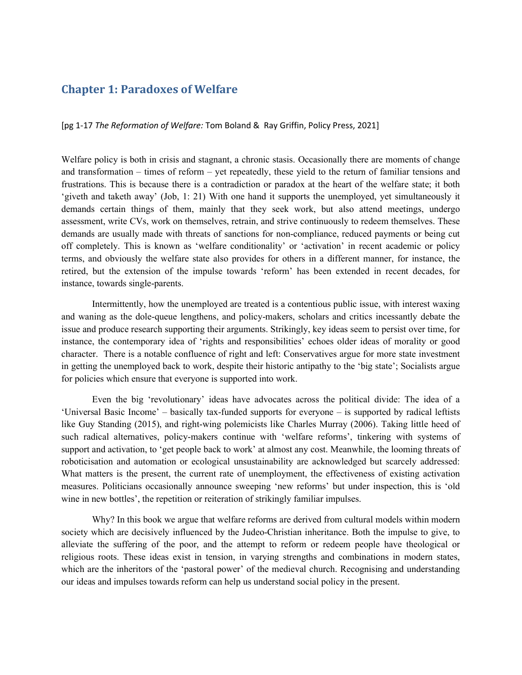# Chapter 1: Paradoxes of Welfare

# [pg 1-17 The Reformation of Welfare: Tom Boland & Ray Griffin, Policy Press, 2021]

Welfare policy is both in crisis and stagnant, a chronic stasis. Occasionally there are moments of change and transformation – times of reform – yet repeatedly, these yield to the return of familiar tensions and frustrations. This is because there is a contradiction or paradox at the heart of the welfare state; it both 'giveth and taketh away' (Job, 1: 21) With one hand it supports the unemployed, yet simultaneously it demands certain things of them, mainly that they seek work, but also attend meetings, undergo assessment, write CVs, work on themselves, retrain, and strive continuously to redeem themselves. These demands are usually made with threats of sanctions for non-compliance, reduced payments or being cut off completely. This is known as 'welfare conditionality' or 'activation' in recent academic or policy terms, and obviously the welfare state also provides for others in a different manner, for instance, the retired, but the extension of the impulse towards 'reform' has been extended in recent decades, for instance, towards single-parents.

 Intermittently, how the unemployed are treated is a contentious public issue, with interest waxing and waning as the dole-queue lengthens, and policy-makers, scholars and critics incessantly debate the issue and produce research supporting their arguments. Strikingly, key ideas seem to persist over time, for instance, the contemporary idea of 'rights and responsibilities' echoes older ideas of morality or good character. There is a notable confluence of right and left: Conservatives argue for more state investment in getting the unemployed back to work, despite their historic antipathy to the 'big state'; Socialists argue for policies which ensure that everyone is supported into work.

Even the big 'revolutionary' ideas have advocates across the political divide: The idea of a 'Universal Basic Income' – basically tax-funded supports for everyone – is supported by radical leftists like Guy Standing (2015), and right-wing polemicists like Charles Murray (2006). Taking little heed of such radical alternatives, policy-makers continue with 'welfare reforms', tinkering with systems of support and activation, to 'get people back to work' at almost any cost. Meanwhile, the looming threats of roboticisation and automation or ecological unsustainability are acknowledged but scarcely addressed: What matters is the present, the current rate of unemployment, the effectiveness of existing activation measures. Politicians occasionally announce sweeping 'new reforms' but under inspection, this is 'old wine in new bottles', the repetition or reiteration of strikingly familiar impulses.

 Why? In this book we argue that welfare reforms are derived from cultural models within modern society which are decisively influenced by the Judeo-Christian inheritance. Both the impulse to give, to alleviate the suffering of the poor, and the attempt to reform or redeem people have theological or religious roots. These ideas exist in tension, in varying strengths and combinations in modern states, which are the inheritors of the 'pastoral power' of the medieval church. Recognising and understanding our ideas and impulses towards reform can help us understand social policy in the present.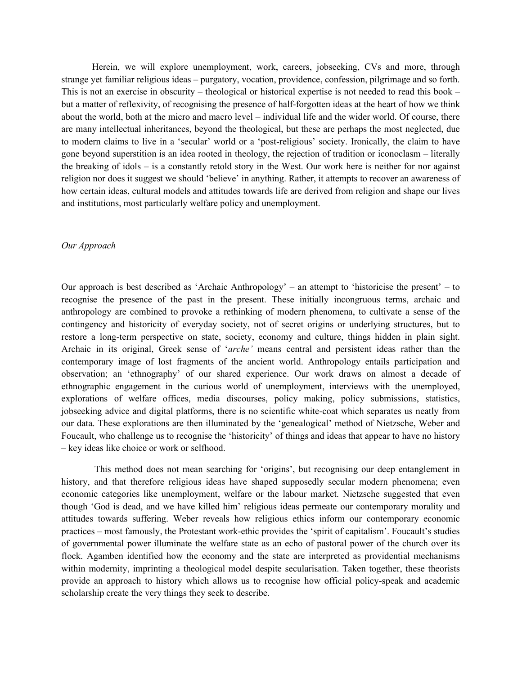Herein, we will explore unemployment, work, careers, jobseeking, CVs and more, through strange yet familiar religious ideas – purgatory, vocation, providence, confession, pilgrimage and so forth. This is not an exercise in obscurity – theological or historical expertise is not needed to read this book – but a matter of reflexivity, of recognising the presence of half-forgotten ideas at the heart of how we think about the world, both at the micro and macro level – individual life and the wider world. Of course, there are many intellectual inheritances, beyond the theological, but these are perhaps the most neglected, due to modern claims to live in a 'secular' world or a 'post-religious' society. Ironically, the claim to have gone beyond superstition is an idea rooted in theology, the rejection of tradition or iconoclasm – literally the breaking of idols – is a constantly retold story in the West. Our work here is neither for nor against religion nor does it suggest we should 'believe' in anything. Rather, it attempts to recover an awareness of how certain ideas, cultural models and attitudes towards life are derived from religion and shape our lives and institutions, most particularly welfare policy and unemployment.

## Our Approach

Our approach is best described as 'Archaic Anthropology' – an attempt to 'historicise the present' – to recognise the presence of the past in the present. These initially incongruous terms, archaic and anthropology are combined to provoke a rethinking of modern phenomena, to cultivate a sense of the contingency and historicity of everyday society, not of secret origins or underlying structures, but to restore a long-term perspective on state, society, economy and culture, things hidden in plain sight. Archaic in its original, Greek sense of 'arche' means central and persistent ideas rather than the contemporary image of lost fragments of the ancient world. Anthropology entails participation and observation; an 'ethnography' of our shared experience. Our work draws on almost a decade of ethnographic engagement in the curious world of unemployment, interviews with the unemployed, explorations of welfare offices, media discourses, policy making, policy submissions, statistics, jobseeking advice and digital platforms, there is no scientific white-coat which separates us neatly from our data. These explorations are then illuminated by the 'genealogical' method of Nietzsche, Weber and Foucault, who challenge us to recognise the 'historicity' of things and ideas that appear to have no history – key ideas like choice or work or selfhood.

 This method does not mean searching for 'origins', but recognising our deep entanglement in history, and that therefore religious ideas have shaped supposedly secular modern phenomena; even economic categories like unemployment, welfare or the labour market. Nietzsche suggested that even though 'God is dead, and we have killed him' religious ideas permeate our contemporary morality and attitudes towards suffering. Weber reveals how religious ethics inform our contemporary economic practices – most famously, the Protestant work-ethic provides the 'spirit of capitalism'. Foucault's studies of governmental power illuminate the welfare state as an echo of pastoral power of the church over its flock. Agamben identified how the economy and the state are interpreted as providential mechanisms within modernity, imprinting a theological model despite secularisation. Taken together, these theorists provide an approach to history which allows us to recognise how official policy-speak and academic scholarship create the very things they seek to describe.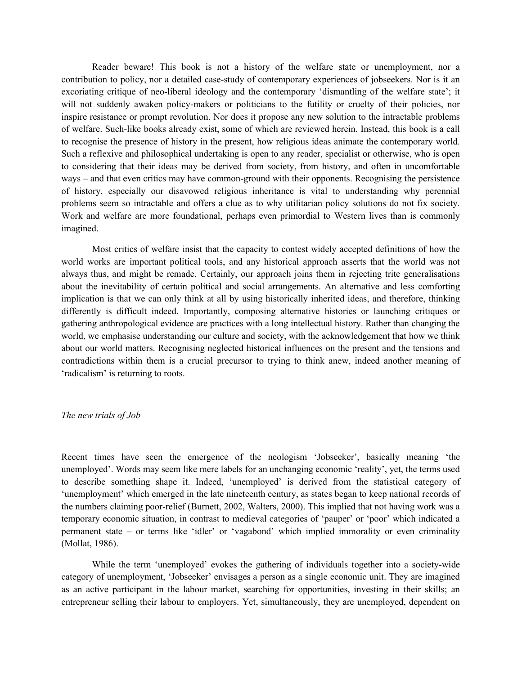Reader beware! This book is not a history of the welfare state or unemployment, nor a contribution to policy, nor a detailed case-study of contemporary experiences of jobseekers. Nor is it an excoriating critique of neo-liberal ideology and the contemporary 'dismantling of the welfare state'; it will not suddenly awaken policy-makers or politicians to the futility or cruelty of their policies, nor inspire resistance or prompt revolution. Nor does it propose any new solution to the intractable problems of welfare. Such-like books already exist, some of which are reviewed herein. Instead, this book is a call to recognise the presence of history in the present, how religious ideas animate the contemporary world. Such a reflexive and philosophical undertaking is open to any reader, specialist or otherwise, who is open to considering that their ideas may be derived from society, from history, and often in uncomfortable ways – and that even critics may have common-ground with their opponents. Recognising the persistence of history, especially our disavowed religious inheritance is vital to understanding why perennial problems seem so intractable and offers a clue as to why utilitarian policy solutions do not fix society. Work and welfare are more foundational, perhaps even primordial to Western lives than is commonly imagined.

 Most critics of welfare insist that the capacity to contest widely accepted definitions of how the world works are important political tools, and any historical approach asserts that the world was not always thus, and might be remade. Certainly, our approach joins them in rejecting trite generalisations about the inevitability of certain political and social arrangements. An alternative and less comforting implication is that we can only think at all by using historically inherited ideas, and therefore, thinking differently is difficult indeed. Importantly, composing alternative histories or launching critiques or gathering anthropological evidence are practices with a long intellectual history. Rather than changing the world, we emphasise understanding our culture and society, with the acknowledgement that how we think about our world matters. Recognising neglected historical influences on the present and the tensions and contradictions within them is a crucial precursor to trying to think anew, indeed another meaning of 'radicalism' is returning to roots.

#### The new trials of Job

Recent times have seen the emergence of the neologism 'Jobseeker', basically meaning 'the unemployed'. Words may seem like mere labels for an unchanging economic 'reality', yet, the terms used to describe something shape it. Indeed, 'unemployed' is derived from the statistical category of 'unemployment' which emerged in the late nineteenth century, as states began to keep national records of the numbers claiming poor-relief (Burnett, 2002, Walters, 2000). This implied that not having work was a temporary economic situation, in contrast to medieval categories of 'pauper' or 'poor' which indicated a permanent state – or terms like 'idler' or 'vagabond' which implied immorality or even criminality (Mollat, 1986).

 While the term 'unemployed' evokes the gathering of individuals together into a society-wide category of unemployment, 'Jobseeker' envisages a person as a single economic unit. They are imagined as an active participant in the labour market, searching for opportunities, investing in their skills; an entrepreneur selling their labour to employers. Yet, simultaneously, they are unemployed, dependent on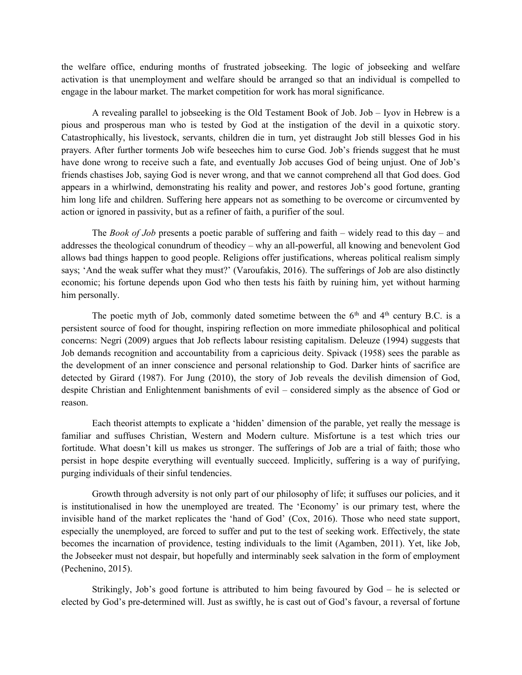the welfare office, enduring months of frustrated jobseeking. The logic of jobseeking and welfare activation is that unemployment and welfare should be arranged so that an individual is compelled to engage in the labour market. The market competition for work has moral significance.

 A revealing parallel to jobseeking is the Old Testament Book of Job. Job – Iyov in Hebrew is a pious and prosperous man who is tested by God at the instigation of the devil in a quixotic story. Catastrophically, his livestock, servants, children die in turn, yet distraught Job still blesses God in his prayers. After further torments Job wife beseeches him to curse God. Job's friends suggest that he must have done wrong to receive such a fate, and eventually Job accuses God of being unjust. One of Job's friends chastises Job, saying God is never wrong, and that we cannot comprehend all that God does. God appears in a whirlwind, demonstrating his reality and power, and restores Job's good fortune, granting him long life and children. Suffering here appears not as something to be overcome or circumvented by action or ignored in passivity, but as a refiner of faith, a purifier of the soul.

The *Book of Job* presents a poetic parable of suffering and faith – widely read to this day – and addresses the theological conundrum of theodicy – why an all-powerful, all knowing and benevolent God allows bad things happen to good people. Religions offer justifications, whereas political realism simply says; 'And the weak suffer what they must?' (Varoufakis, 2016). The sufferings of Job are also distinctly economic; his fortune depends upon God who then tests his faith by ruining him, yet without harming him personally.

The poetic myth of Job, commonly dated sometime between the  $6<sup>th</sup>$  and  $4<sup>th</sup>$  century B.C. is a persistent source of food for thought, inspiring reflection on more immediate philosophical and political concerns: Negri (2009) argues that Job reflects labour resisting capitalism. Deleuze (1994) suggests that Job demands recognition and accountability from a capricious deity. Spivack (1958) sees the parable as the development of an inner conscience and personal relationship to God. Darker hints of sacrifice are detected by Girard (1987). For Jung (2010), the story of Job reveals the devilish dimension of God, despite Christian and Enlightenment banishments of evil – considered simply as the absence of God or reason.

Each theorist attempts to explicate a 'hidden' dimension of the parable, yet really the message is familiar and suffuses Christian, Western and Modern culture. Misfortune is a test which tries our fortitude. What doesn't kill us makes us stronger. The sufferings of Job are a trial of faith; those who persist in hope despite everything will eventually succeed. Implicitly, suffering is a way of purifying, purging individuals of their sinful tendencies.

Growth through adversity is not only part of our philosophy of life; it suffuses our policies, and it is institutionalised in how the unemployed are treated. The 'Economy' is our primary test, where the invisible hand of the market replicates the 'hand of God' (Cox, 2016). Those who need state support, especially the unemployed, are forced to suffer and put to the test of seeking work. Effectively, the state becomes the incarnation of providence, testing individuals to the limit (Agamben, 2011). Yet, like Job, the Jobseeker must not despair, but hopefully and interminably seek salvation in the form of employment (Pechenino, 2015).

Strikingly, Job's good fortune is attributed to him being favoured by God – he is selected or elected by God's pre-determined will. Just as swiftly, he is cast out of God's favour, a reversal of fortune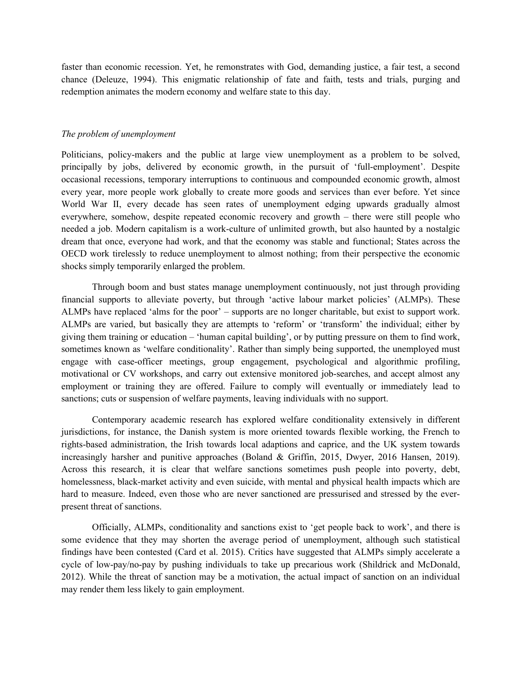faster than economic recession. Yet, he remonstrates with God, demanding justice, a fair test, a second chance (Deleuze, 1994). This enigmatic relationship of fate and faith, tests and trials, purging and redemption animates the modern economy and welfare state to this day.

## The problem of unemployment

Politicians, policy-makers and the public at large view unemployment as a problem to be solved, principally by jobs, delivered by economic growth, in the pursuit of 'full-employment'. Despite occasional recessions, temporary interruptions to continuous and compounded economic growth, almost every year, more people work globally to create more goods and services than ever before. Yet since World War II, every decade has seen rates of unemployment edging upwards gradually almost everywhere, somehow, despite repeated economic recovery and growth – there were still people who needed a job. Modern capitalism is a work-culture of unlimited growth, but also haunted by a nostalgic dream that once, everyone had work, and that the economy was stable and functional; States across the OECD work tirelessly to reduce unemployment to almost nothing; from their perspective the economic shocks simply temporarily enlarged the problem.

 Through boom and bust states manage unemployment continuously, not just through providing financial supports to alleviate poverty, but through 'active labour market policies' (ALMPs). These ALMPs have replaced 'alms for the poor' – supports are no longer charitable, but exist to support work. ALMPs are varied, but basically they are attempts to 'reform' or 'transform' the individual; either by giving them training or education – 'human capital building', or by putting pressure on them to find work, sometimes known as 'welfare conditionality'. Rather than simply being supported, the unemployed must engage with case-officer meetings, group engagement, psychological and algorithmic profiling, motivational or CV workshops, and carry out extensive monitored job-searches, and accept almost any employment or training they are offered. Failure to comply will eventually or immediately lead to sanctions; cuts or suspension of welfare payments, leaving individuals with no support.

 Contemporary academic research has explored welfare conditionality extensively in different jurisdictions, for instance, the Danish system is more oriented towards flexible working, the French to rights-based administration, the Irish towards local adaptions and caprice, and the UK system towards increasingly harsher and punitive approaches (Boland & Griffin, 2015, Dwyer, 2016 Hansen, 2019). Across this research, it is clear that welfare sanctions sometimes push people into poverty, debt, homelessness, black-market activity and even suicide, with mental and physical health impacts which are hard to measure. Indeed, even those who are never sanctioned are pressurised and stressed by the everpresent threat of sanctions.

 Officially, ALMPs, conditionality and sanctions exist to 'get people back to work', and there is some evidence that they may shorten the average period of unemployment, although such statistical findings have been contested (Card et al. 2015). Critics have suggested that ALMPs simply accelerate a cycle of low-pay/no-pay by pushing individuals to take up precarious work (Shildrick and McDonald, 2012). While the threat of sanction may be a motivation, the actual impact of sanction on an individual may render them less likely to gain employment.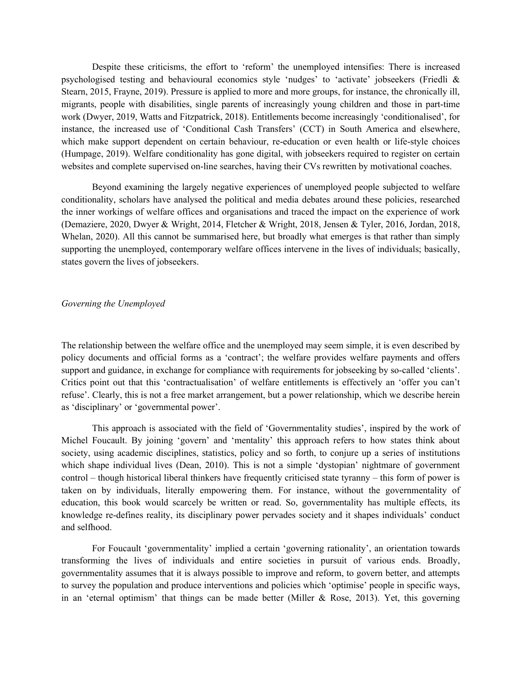Despite these criticisms, the effort to 'reform' the unemployed intensifies: There is increased psychologised testing and behavioural economics style 'nudges' to 'activate' jobseekers (Friedli & Stearn, 2015, Frayne, 2019). Pressure is applied to more and more groups, for instance, the chronically ill, migrants, people with disabilities, single parents of increasingly young children and those in part-time work (Dwyer, 2019, Watts and Fitzpatrick, 2018). Entitlements become increasingly 'conditionalised', for instance, the increased use of 'Conditional Cash Transfers' (CCT) in South America and elsewhere, which make support dependent on certain behaviour, re-education or even health or life-style choices (Humpage, 2019). Welfare conditionality has gone digital, with jobseekers required to register on certain websites and complete supervised on-line searches, having their CVs rewritten by motivational coaches.

 Beyond examining the largely negative experiences of unemployed people subjected to welfare conditionality, scholars have analysed the political and media debates around these policies, researched the inner workings of welfare offices and organisations and traced the impact on the experience of work (Demaziere, 2020, Dwyer & Wright, 2014, Fletcher & Wright, 2018, Jensen & Tyler, 2016, Jordan, 2018, Whelan, 2020). All this cannot be summarised here, but broadly what emerges is that rather than simply supporting the unemployed, contemporary welfare offices intervene in the lives of individuals; basically, states govern the lives of jobseekers.

Governing the Unemployed

The relationship between the welfare office and the unemployed may seem simple, it is even described by policy documents and official forms as a 'contract'; the welfare provides welfare payments and offers support and guidance, in exchange for compliance with requirements for jobseeking by so-called 'clients'. Critics point out that this 'contractualisation' of welfare entitlements is effectively an 'offer you can't refuse'. Clearly, this is not a free market arrangement, but a power relationship, which we describe herein as 'disciplinary' or 'governmental power'.

 This approach is associated with the field of 'Governmentality studies', inspired by the work of Michel Foucault. By joining 'govern' and 'mentality' this approach refers to how states think about society, using academic disciplines, statistics, policy and so forth, to conjure up a series of institutions which shape individual lives (Dean, 2010). This is not a simple 'dystopian' nightmare of government control – though historical liberal thinkers have frequently criticised state tyranny – this form of power is taken on by individuals, literally empowering them. For instance, without the governmentality of education, this book would scarcely be written or read. So, governmentality has multiple effects, its knowledge re-defines reality, its disciplinary power pervades society and it shapes individuals' conduct and selfhood.

 For Foucault 'governmentality' implied a certain 'governing rationality', an orientation towards transforming the lives of individuals and entire societies in pursuit of various ends. Broadly, governmentality assumes that it is always possible to improve and reform, to govern better, and attempts to survey the population and produce interventions and policies which 'optimise' people in specific ways, in an 'eternal optimism' that things can be made better (Miller & Rose, 2013). Yet, this governing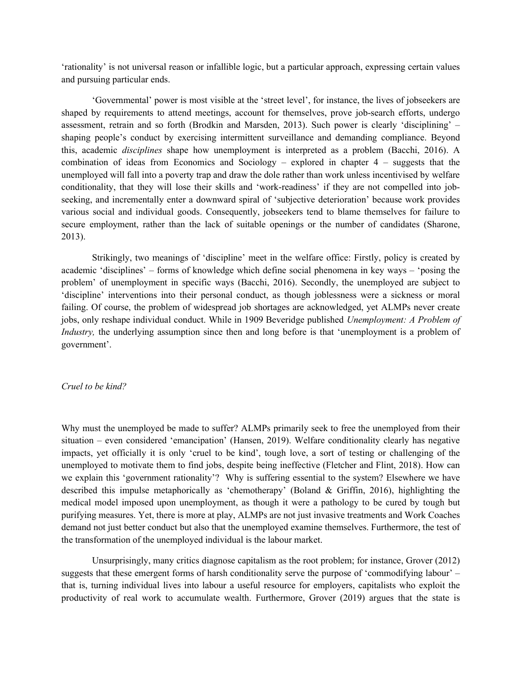'rationality' is not universal reason or infallible logic, but a particular approach, expressing certain values and pursuing particular ends.

 'Governmental' power is most visible at the 'street level', for instance, the lives of jobseekers are shaped by requirements to attend meetings, account for themselves, prove job-search efforts, undergo assessment, retrain and so forth (Brodkin and Marsden, 2013). Such power is clearly 'disciplining' – shaping people's conduct by exercising intermittent surveillance and demanding compliance. Beyond this, academic disciplines shape how unemployment is interpreted as a problem (Bacchi, 2016). A combination of ideas from Economics and Sociology – explored in chapter 4 – suggests that the unemployed will fall into a poverty trap and draw the dole rather than work unless incentivised by welfare conditionality, that they will lose their skills and 'work-readiness' if they are not compelled into jobseeking, and incrementally enter a downward spiral of 'subjective deterioration' because work provides various social and individual goods. Consequently, jobseekers tend to blame themselves for failure to secure employment, rather than the lack of suitable openings or the number of candidates (Sharone, 2013).

Strikingly, two meanings of 'discipline' meet in the welfare office: Firstly, policy is created by academic 'disciplines' – forms of knowledge which define social phenomena in key ways – 'posing the problem' of unemployment in specific ways (Bacchi, 2016). Secondly, the unemployed are subject to 'discipline' interventions into their personal conduct, as though joblessness were a sickness or moral failing. Of course, the problem of widespread job shortages are acknowledged, yet ALMPs never create jobs, only reshape individual conduct. While in 1909 Beveridge published Unemployment: A Problem of Industry, the underlying assumption since then and long before is that 'unemployment is a problem of government'.

# Cruel to be kind?

Why must the unemployed be made to suffer? ALMPs primarily seek to free the unemployed from their situation – even considered 'emancipation' (Hansen, 2019). Welfare conditionality clearly has negative impacts, yet officially it is only 'cruel to be kind', tough love, a sort of testing or challenging of the unemployed to motivate them to find jobs, despite being ineffective (Fletcher and Flint, 2018). How can we explain this 'government rationality'? Why is suffering essential to the system? Elsewhere we have described this impulse metaphorically as 'chemotherapy' (Boland & Griffin, 2016), highlighting the medical model imposed upon unemployment, as though it were a pathology to be cured by tough but purifying measures. Yet, there is more at play, ALMPs are not just invasive treatments and Work Coaches demand not just better conduct but also that the unemployed examine themselves. Furthermore, the test of the transformation of the unemployed individual is the labour market.

Unsurprisingly, many critics diagnose capitalism as the root problem; for instance, Grover (2012) suggests that these emergent forms of harsh conditionality serve the purpose of 'commodifying labour' – that is, turning individual lives into labour a useful resource for employers, capitalists who exploit the productivity of real work to accumulate wealth. Furthermore, Grover (2019) argues that the state is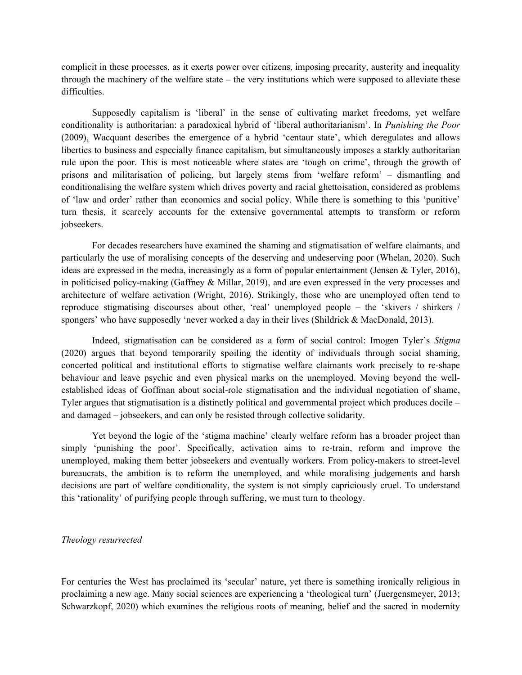complicit in these processes, as it exerts power over citizens, imposing precarity, austerity and inequality through the machinery of the welfare state – the very institutions which were supposed to alleviate these difficulties.

 Supposedly capitalism is 'liberal' in the sense of cultivating market freedoms, yet welfare conditionality is authoritarian: a paradoxical hybrid of 'liberal authoritarianism'. In Punishing the Poor (2009), Wacquant describes the emergence of a hybrid 'centaur state', which deregulates and allows liberties to business and especially finance capitalism, but simultaneously imposes a starkly authoritarian rule upon the poor. This is most noticeable where states are 'tough on crime', through the growth of prisons and militarisation of policing, but largely stems from 'welfare reform' – dismantling and conditionalising the welfare system which drives poverty and racial ghettoisation, considered as problems of 'law and order' rather than economics and social policy. While there is something to this 'punitive' turn thesis, it scarcely accounts for the extensive governmental attempts to transform or reform jobseekers.

For decades researchers have examined the shaming and stigmatisation of welfare claimants, and particularly the use of moralising concepts of the deserving and undeserving poor (Whelan, 2020). Such ideas are expressed in the media, increasingly as a form of popular entertainment (Jensen & Tyler, 2016), in politicised policy-making (Gaffney & Millar, 2019), and are even expressed in the very processes and architecture of welfare activation (Wright, 2016). Strikingly, those who are unemployed often tend to reproduce stigmatising discourses about other, 'real' unemployed people – the 'skivers / shirkers / spongers' who have supposedly 'never worked a day in their lives (Shildrick & MacDonald, 2013).

Indeed, stigmatisation can be considered as a form of social control: Imogen Tyler's Stigma (2020) argues that beyond temporarily spoiling the identity of individuals through social shaming, concerted political and institutional efforts to stigmatise welfare claimants work precisely to re-shape behaviour and leave psychic and even physical marks on the unemployed. Moving beyond the wellestablished ideas of Goffman about social-role stigmatisation and the individual negotiation of shame, Tyler argues that stigmatisation is a distinctly political and governmental project which produces docile – and damaged – jobseekers, and can only be resisted through collective solidarity.

Yet beyond the logic of the 'stigma machine' clearly welfare reform has a broader project than simply 'punishing the poor'. Specifically, activation aims to re-train, reform and improve the unemployed, making them better jobseekers and eventually workers. From policy-makers to street-level bureaucrats, the ambition is to reform the unemployed, and while moralising judgements and harsh decisions are part of welfare conditionality, the system is not simply capriciously cruel. To understand this 'rationality' of purifying people through suffering, we must turn to theology.

#### Theology resurrected

For centuries the West has proclaimed its 'secular' nature, yet there is something ironically religious in proclaiming a new age. Many social sciences are experiencing a 'theological turn' (Juergensmeyer, 2013; Schwarzkopf, 2020) which examines the religious roots of meaning, belief and the sacred in modernity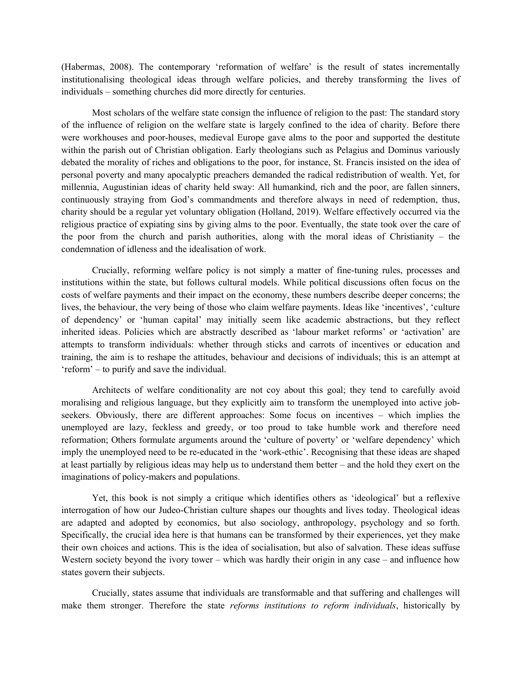(Habermas, 2008). The contemporary 'reformation of welfare' is the result of states incrementally institutionalising theological ideas through welfare policies, and thereby transforming the lives of individuals – something churches did more directly for centuries.

 Most scholars of the welfare state consign the influence of religion to the past: The standard story of the influence of religion on the welfare state is largely confined to the idea of charity. Before there were workhouses and poor-houses, medieval Europe gave alms to the poor and supported the destitute within the parish out of Christian obligation. Early theologians such as Pelagius and Dominus variously debated the morality of riches and obligations to the poor, for instance, St. Francis insisted on the idea of personal poverty and many apocalyptic preachers demanded the radical redistribution of wealth. Yet, for millennia, Augustinian ideas of charity held sway: All humankind, rich and the poor, are fallen sinners, continuously straying from God's commandments and therefore always in need of redemption, thus, charity should be a regular yet voluntary obligation (Holland, 2019). Welfare effectively occurred via the religious practice of expiating sins by giving alms to the poor. Eventually, the state took over the care of the poor from the church and parish authorities, along with the moral ideas of Christianity – the condemnation of idleness and the idealisation of work.

Crucially, reforming welfare policy is not simply a matter of fine-tuning rules, processes and institutions within the state, but follows cultural models. While political discussions often focus on the costs of welfare payments and their impact on the economy, these numbers describe deeper concerns; the lives, the behaviour, the very being of those who claim welfare payments. Ideas like 'incentives', 'culture of dependency' or 'human capital' may initially seem like academic abstractions, but they reflect inherited ideas. Policies which are abstractly described as 'labour market reforms' or 'activation' are attempts to transform individuals: whether through sticks and carrots of incentives or education and training, the aim is to reshape the attitudes, behaviour and decisions of individuals; this is an attempt at 'reform' – to purify and save the individual.

 Architects of welfare conditionality are not coy about this goal; they tend to carefully avoid moralising and religious language, but they explicitly aim to transform the unemployed into active jobseekers. Obviously, there are different approaches: Some focus on incentives – which implies the unemployed are lazy, feckless and greedy, or too proud to take humble work and therefore need reformation; Others formulate arguments around the 'culture of poverty' or 'welfare dependency' which imply the unemployed need to be re-educated in the 'work-ethic'. Recognising that these ideas are shaped at least partially by religious ideas may help us to understand them better – and the hold they exert on the imaginations of policy-makers and populations.

 Yet, this book is not simply a critique which identifies others as 'ideological' but a reflexive interrogation of how our Judeo-Christian culture shapes our thoughts and lives today. Theological ideas are adapted and adopted by economics, but also sociology, anthropology, psychology and so forth. Specifically, the crucial idea here is that humans can be transformed by their experiences, yet they make their own choices and actions. This is the idea of socialisation, but also of salvation. These ideas suffuse Western society beyond the ivory tower – which was hardly their origin in any case – and influence how states govern their subjects.

 Crucially, states assume that individuals are transformable and that suffering and challenges will make them stronger. Therefore the state *reforms institutions to reform individuals*, historically by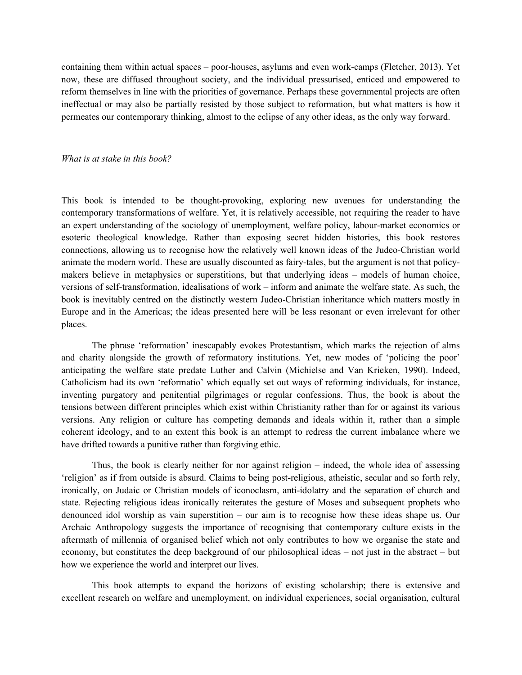containing them within actual spaces – poor-houses, asylums and even work-camps (Fletcher, 2013). Yet now, these are diffused throughout society, and the individual pressurised, enticed and empowered to reform themselves in line with the priorities of governance. Perhaps these governmental projects are often ineffectual or may also be partially resisted by those subject to reformation, but what matters is how it permeates our contemporary thinking, almost to the eclipse of any other ideas, as the only way forward.

#### What is at stake in this book?

This book is intended to be thought-provoking, exploring new avenues for understanding the contemporary transformations of welfare. Yet, it is relatively accessible, not requiring the reader to have an expert understanding of the sociology of unemployment, welfare policy, labour-market economics or esoteric theological knowledge. Rather than exposing secret hidden histories, this book restores connections, allowing us to recognise how the relatively well known ideas of the Judeo-Christian world animate the modern world. These are usually discounted as fairy-tales, but the argument is not that policymakers believe in metaphysics or superstitions, but that underlying ideas – models of human choice, versions of self-transformation, idealisations of work – inform and animate the welfare state. As such, the book is inevitably centred on the distinctly western Judeo-Christian inheritance which matters mostly in Europe and in the Americas; the ideas presented here will be less resonant or even irrelevant for other places.

 The phrase 'reformation' inescapably evokes Protestantism, which marks the rejection of alms and charity alongside the growth of reformatory institutions. Yet, new modes of 'policing the poor' anticipating the welfare state predate Luther and Calvin (Michielse and Van Krieken, 1990). Indeed, Catholicism had its own 'reformatio' which equally set out ways of reforming individuals, for instance, inventing purgatory and penitential pilgrimages or regular confessions. Thus, the book is about the tensions between different principles which exist within Christianity rather than for or against its various versions. Any religion or culture has competing demands and ideals within it, rather than a simple coherent ideology, and to an extent this book is an attempt to redress the current imbalance where we have drifted towards a punitive rather than forgiving ethic.

 Thus, the book is clearly neither for nor against religion – indeed, the whole idea of assessing 'religion' as if from outside is absurd. Claims to being post-religious, atheistic, secular and so forth rely, ironically, on Judaic or Christian models of iconoclasm, anti-idolatry and the separation of church and state. Rejecting religious ideas ironically reiterates the gesture of Moses and subsequent prophets who denounced idol worship as vain superstition – our aim is to recognise how these ideas shape us. Our Archaic Anthropology suggests the importance of recognising that contemporary culture exists in the aftermath of millennia of organised belief which not only contributes to how we organise the state and economy, but constitutes the deep background of our philosophical ideas – not just in the abstract – but how we experience the world and interpret our lives.

 This book attempts to expand the horizons of existing scholarship; there is extensive and excellent research on welfare and unemployment, on individual experiences, social organisation, cultural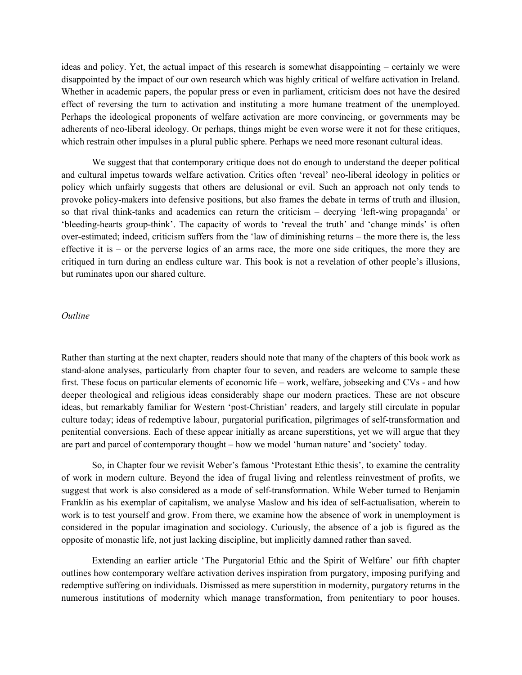ideas and policy. Yet, the actual impact of this research is somewhat disappointing – certainly we were disappointed by the impact of our own research which was highly critical of welfare activation in Ireland. Whether in academic papers, the popular press or even in parliament, criticism does not have the desired effect of reversing the turn to activation and instituting a more humane treatment of the unemployed. Perhaps the ideological proponents of welfare activation are more convincing, or governments may be adherents of neo-liberal ideology. Or perhaps, things might be even worse were it not for these critiques, which restrain other impulses in a plural public sphere. Perhaps we need more resonant cultural ideas.

 We suggest that that contemporary critique does not do enough to understand the deeper political and cultural impetus towards welfare activation. Critics often 'reveal' neo-liberal ideology in politics or policy which unfairly suggests that others are delusional or evil. Such an approach not only tends to provoke policy-makers into defensive positions, but also frames the debate in terms of truth and illusion, so that rival think-tanks and academics can return the criticism – decrying 'left-wing propaganda' or 'bleeding-hearts group-think'. The capacity of words to 'reveal the truth' and 'change minds' is often over-estimated; indeed, criticism suffers from the 'law of diminishing returns – the more there is, the less effective it is – or the perverse logics of an arms race, the more one side critiques, the more they are critiqued in turn during an endless culture war. This book is not a revelation of other people's illusions, but ruminates upon our shared culture.

# **Outline**

Rather than starting at the next chapter, readers should note that many of the chapters of this book work as stand-alone analyses, particularly from chapter four to seven, and readers are welcome to sample these first. These focus on particular elements of economic life – work, welfare, jobseeking and CVs - and how deeper theological and religious ideas considerably shape our modern practices. These are not obscure ideas, but remarkably familiar for Western 'post-Christian' readers, and largely still circulate in popular culture today; ideas of redemptive labour, purgatorial purification, pilgrimages of self-transformation and penitential conversions. Each of these appear initially as arcane superstitions, yet we will argue that they are part and parcel of contemporary thought – how we model 'human nature' and 'society' today.

 So, in Chapter four we revisit Weber's famous 'Protestant Ethic thesis', to examine the centrality of work in modern culture. Beyond the idea of frugal living and relentless reinvestment of profits, we suggest that work is also considered as a mode of self-transformation. While Weber turned to Benjamin Franklin as his exemplar of capitalism, we analyse Maslow and his idea of self-actualisation, wherein to work is to test yourself and grow. From there, we examine how the absence of work in unemployment is considered in the popular imagination and sociology. Curiously, the absence of a job is figured as the opposite of monastic life, not just lacking discipline, but implicitly damned rather than saved.

 Extending an earlier article 'The Purgatorial Ethic and the Spirit of Welfare' our fifth chapter outlines how contemporary welfare activation derives inspiration from purgatory, imposing purifying and redemptive suffering on individuals. Dismissed as mere superstition in modernity, purgatory returns in the numerous institutions of modernity which manage transformation, from penitentiary to poor houses.